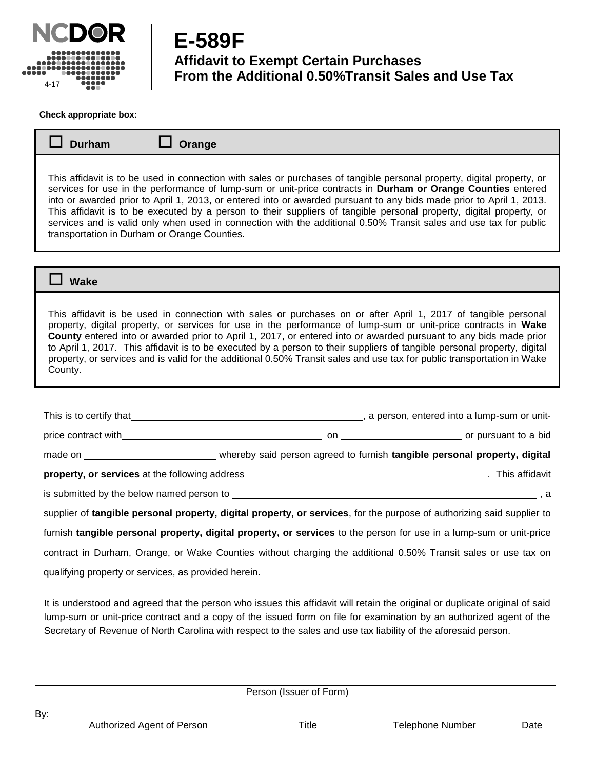

**E-589F Affidavit to Exempt Certain Purchases From the Additional 0.50%Transit Sales and Use Tax**

**Check appropriate box:**

| $\Box$ Durham | $\Box$ Orange |
|---------------|---------------|
|---------------|---------------|

This affidavit is to be used in connection with sales or purchases of tangible personal property, digital property, or services for use in the performance of lump-sum or unit-price contracts in **Durham or Orange Counties** entered into or awarded prior to April 1, 2013, or entered into or awarded pursuant to any bids made prior to April 1, 2013. This affidavit is to be executed by a person to their suppliers of tangible personal property, digital property, or services and is valid only when used in connection with the additional 0.50% Transit sales and use tax for public transportation in Durham or Orange Counties.

 **Wake** 

This affidavit is be used in connection with sales or purchases on or after April 1, 2017 of tangible personal property, digital property, or services for use in the performance of lump-sum or unit-price contracts in **Wake County** entered into or awarded prior to April 1, 2017, or entered into or awarded pursuant to any bids made prior to April 1, 2017. This affidavit is to be executed by a person to their suppliers of tangible personal property, digital property, or services and is valid for the additional 0.50% Transit sales and use tax for public transportation in Wake County.

|                                                                                                                                                                                                                                      |  | This is to certify that the contract of the contract of the contract of the contract of the contract of the contract of the contract of the contract of the contract of the contract of the contract of the contract of the co |
|--------------------------------------------------------------------------------------------------------------------------------------------------------------------------------------------------------------------------------------|--|--------------------------------------------------------------------------------------------------------------------------------------------------------------------------------------------------------------------------------|
| price contract with example of the state of the state of the state of the state of the state of the state of the state of the state of the state of the state of the state of the state of the state of the state of the state       |  |                                                                                                                                                                                                                                |
|                                                                                                                                                                                                                                      |  |                                                                                                                                                                                                                                |
| property, or services at the following address <b>example 20 and 20 and 20 and 20 and 20 and 20 and 20 and 20 and 20 and 20 and 20 and 20 and 20 and 20 and 20 and 20 and 20 and 20 and 20 and 20 and 20 and 20 and 20 and 20 an</b> |  |                                                                                                                                                                                                                                |
| is submitted by the below named person to server all the state of the state of the state of the state of the state of the state of the state of the state of the state of the state of the state of the state of the state of        |  |                                                                                                                                                                                                                                |
| supplier of tangible personal property, digital property, or services, for the purpose of authorizing said supplier to                                                                                                               |  |                                                                                                                                                                                                                                |
| furnish tangible personal property, digital property, or services to the person for use in a lump-sum or unit-price                                                                                                                  |  |                                                                                                                                                                                                                                |
| contract in Durham, Orange, or Wake Counties without charging the additional 0.50% Transit sales or use tax on                                                                                                                       |  |                                                                                                                                                                                                                                |

qualifying property or services, as provided herein.

It is understood and agreed that the person who issues this affidavit will retain the original or duplicate original of said lump-sum or unit-price contract and a copy of the issued form on file for examination by an authorized agent of the Secretary of Revenue of North Carolina with respect to the sales and use tax liability of the aforesaid person.

<u>the contract of the contract of the contract of the contract of the contract of the contract of the contract of the contract of the contract of the contract of the contract of the contract of the contract of the contract </u> Person (Issuer of Form)